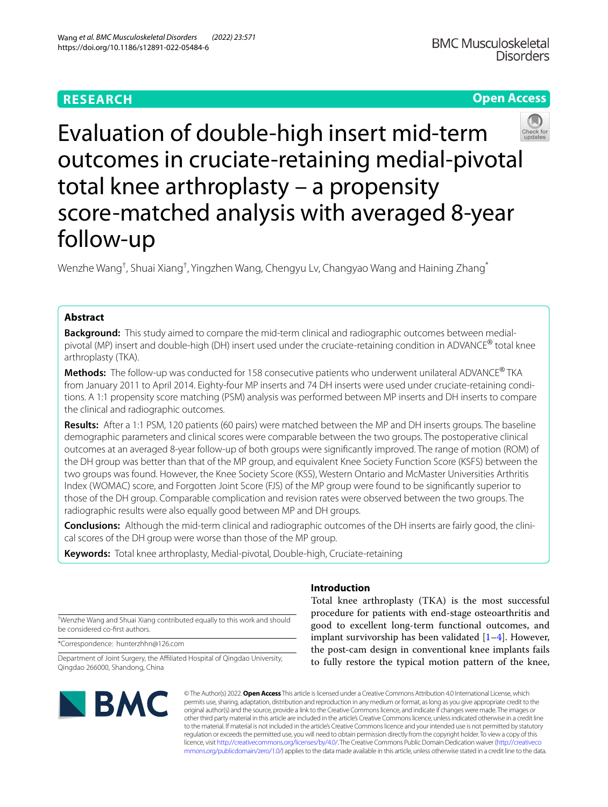# **RESEARCH**

# **Open Access**



Evaluation of double-high insert mid-term outcomes in cruciate-retaining medial-pivotal total knee arthroplasty – a propensity score-matched analysis with averaged 8-year follow-up

Wenzhe Wang<sup>†</sup>, Shuai Xiang<sup>†</sup>, Yingzhen Wang, Chengyu Lv, Changyao Wang and Haining Zhang<sup>\*</sup>

# **Abstract**

**Background:** This study aimed to compare the mid-term clinical and radiographic outcomes between medialpivotal (MP) insert and double-high (DH) insert used under the cruciate-retaining condition in ADVANCE® total knee arthroplasty (TKA).

**Methods:** The follow-up was conducted for 158 consecutive patients who underwent unilateral ADVANCE® TKA from January 2011 to April 2014. Eighty-four MP inserts and 74 DH inserts were used under cruciate-retaining conditions. A 1:1 propensity score matching (PSM) analysis was performed between MP inserts and DH inserts to compare the clinical and radiographic outcomes.

**Results:** After a 1:1 PSM, 120 patients (60 pairs) were matched between the MP and DH inserts groups. The baseline demographic parameters and clinical scores were comparable between the two groups. The postoperative clinical outcomes at an averaged 8-year follow-up of both groups were signifcantly improved. The range of motion (ROM) of the DH group was better than that of the MP group, and equivalent Knee Society Function Score (KSFS) between the two groups was found. However, the Knee Society Score (KSS), Western Ontario and McMaster Universities Arthritis Index (WOMAC) score, and Forgotten Joint Score (FJS) of the MP group were found to be signifcantly superior to those of the DH group. Comparable complication and revision rates were observed between the two groups. The radiographic results were also equally good between MP and DH groups.

**Conclusions:** Although the mid-term clinical and radiographic outcomes of the DH inserts are fairly good, the clinical scores of the DH group were worse than those of the MP group.

**Keywords:** Total knee arthroplasty, Medial-pivotal, Double-high, Cruciate-retaining

† Wenzhe Wang and Shuai Xiang contributed equally to this work and should be considered co-frst authors.

\*Correspondence: hunterzhhn@126.com

Department of Joint Surgery, the Afliated Hospital of Qingdao University, Qingdao 266000, Shandong, China

# **IBMC**

# **Introduction**

Total knee arthroplasty (TKA) is the most successful procedure for patients with end-stage osteoarthritis and good to excellent long-term functional outcomes, and implant survivorship has been validated  $[1-4]$  $[1-4]$ . However, the post-cam design in conventional knee implants fails to fully restore the typical motion pattern of the knee,

© The Author(s) 2022. **Open Access** This article is licensed under a Creative Commons Attribution 4.0 International License, which permits use, sharing, adaptation, distribution and reproduction in any medium or format, as long as you give appropriate credit to the original author(s) and the source, provide a link to the Creative Commons licence, and indicate if changes were made. The images or other third party material in this article are included in the article's Creative Commons licence, unless indicated otherwise in a credit line to the material. If material is not included in the article's Creative Commons licence and your intended use is not permitted by statutory regulation or exceeds the permitted use, you will need to obtain permission directly from the copyright holder. To view a copy of this licence, visit [http://creativecommons.org/licenses/by/4.0/.](http://creativecommons.org/licenses/by/4.0/) The Creative Commons Public Domain Dedication waiver ([http://creativeco](http://creativecommons.org/publicdomain/zero/1.0/) [mmons.org/publicdomain/zero/1.0/](http://creativecommons.org/publicdomain/zero/1.0/)) applies to the data made available in this article, unless otherwise stated in a credit line to the data.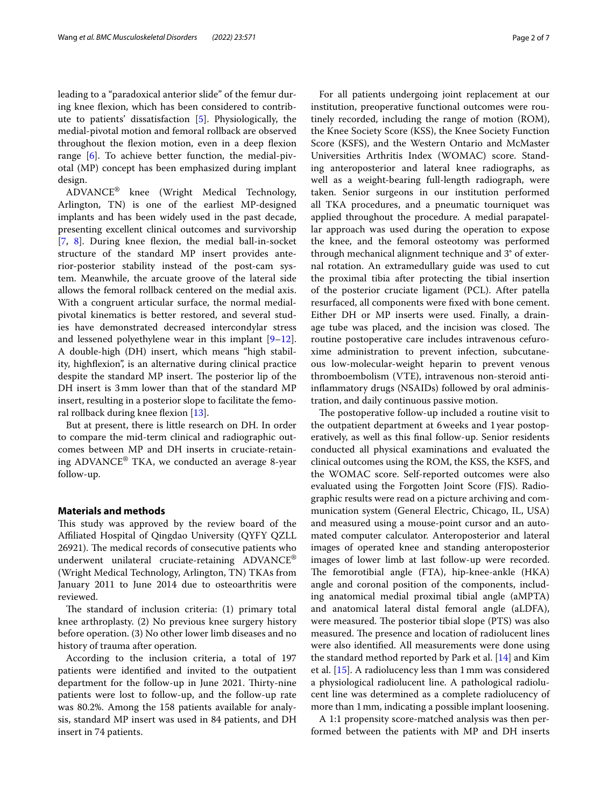leading to a "paradoxical anterior slide" of the femur during knee fexion, which has been considered to contribute to patients' dissatisfaction [\[5](#page-5-2)]. Physiologically, the medial-pivotal motion and femoral rollback are observed throughout the flexion motion, even in a deep flexion range [[6\]](#page-5-3). To achieve better function, the medial-pivotal (MP) concept has been emphasized during implant design.

ADVANCE® knee (Wright Medical Technology, Arlington, TN) is one of the earliest MP-designed implants and has been widely used in the past decade, presenting excellent clinical outcomes and survivorship [[7,](#page-5-4) [8](#page-5-5)]. During knee flexion, the medial ball-in-socket structure of the standard MP insert provides anterior-posterior stability instead of the post-cam system. Meanwhile, the arcuate groove of the lateral side allows the femoral rollback centered on the medial axis. With a congruent articular surface, the normal medialpivotal kinematics is better restored, and several studies have demonstrated decreased intercondylar stress and lessened polyethylene wear in this implant  $[9-12]$  $[9-12]$ . A double-high (DH) insert, which means "high stability, highfexion", is an alternative during clinical practice despite the standard MP insert. The posterior lip of the DH insert is 3mm lower than that of the standard MP insert, resulting in a posterior slope to facilitate the femoral rollback during knee fexion [[13](#page-6-2)].

But at present, there is little research on DH. In order to compare the mid-term clinical and radiographic outcomes between MP and DH inserts in cruciate-retaining ADVANCE® TKA, we conducted an average 8-year follow-up.

## **Materials and methods**

This study was approved by the review board of the Afliated Hospital of Qingdao University (QYFY QZLL 26921). The medical records of consecutive patients who underwent unilateral cruciate-retaining ADVANCE® (Wright Medical Technology, Arlington, TN) TKAs from January 2011 to June 2014 due to osteoarthritis were reviewed.

The standard of inclusion criteria: (1) primary total knee arthroplasty. (2) No previous knee surgery history before operation. (3) No other lower limb diseases and no history of trauma after operation.

According to the inclusion criteria, a total of 197 patients were identifed and invited to the outpatient department for the follow-up in June 2021. Thirty-nine patients were lost to follow-up, and the follow-up rate was 80.2%. Among the 158 patients available for analysis, standard MP insert was used in 84 patients, and DH insert in 74 patients.

For all patients undergoing joint replacement at our institution, preoperative functional outcomes were routinely recorded, including the range of motion (ROM), the Knee Society Score (KSS), the Knee Society Function Score (KSFS), and the Western Ontario and McMaster Universities Arthritis Index (WOMAC) score. Standing anteroposterior and lateral knee radiographs, as well as a weight-bearing full-length radiograph, were taken. Senior surgeons in our institution performed all TKA procedures, and a pneumatic tourniquet was applied throughout the procedure. A medial parapatellar approach was used during the operation to expose the knee, and the femoral osteotomy was performed through mechanical alignment technique and 3° of external rotation. An extramedullary guide was used to cut the proximal tibia after protecting the tibial insertion of the posterior cruciate ligament (PCL). After patella resurfaced, all components were fxed with bone cement. Either DH or MP inserts were used. Finally, a drainage tube was placed, and the incision was closed. The routine postoperative care includes intravenous cefuroxime administration to prevent infection, subcutaneous low-molecular-weight heparin to prevent venous thromboembolism (VTE), intravenous non-steroid antiinfammatory drugs (NSAIDs) followed by oral administration, and daily continuous passive motion.

The postoperative follow-up included a routine visit to the outpatient department at 6weeks and 1year postoperatively, as well as this fnal follow-up. Senior residents conducted all physical examinations and evaluated the clinical outcomes using the ROM, the KSS, the KSFS, and the WOMAC score. Self-reported outcomes were also evaluated using the Forgotten Joint Score (FJS). Radiographic results were read on a picture archiving and communication system (General Electric, Chicago, IL, USA) and measured using a mouse-point cursor and an automated computer calculator. Anteroposterior and lateral images of operated knee and standing anteroposterior images of lower limb at last follow-up were recorded. The femorotibial angle (FTA), hip-knee-ankle (HKA) angle and coronal position of the components, including anatomical medial proximal tibial angle (aMPTA) and anatomical lateral distal femoral angle (aLDFA), were measured. The posterior tibial slope (PTS) was also measured. The presence and location of radiolucent lines were also identifed. All measurements were done using the standard method reported by Park et al. [\[14](#page-6-3)] and Kim et al. [\[15\]](#page-6-4). A radiolucency less than 1mm was considered a physiological radiolucent line. A pathological radiolucent line was determined as a complete radiolucency of more than 1mm, indicating a possible implant loosening.

A 1:1 propensity score-matched analysis was then performed between the patients with MP and DH inserts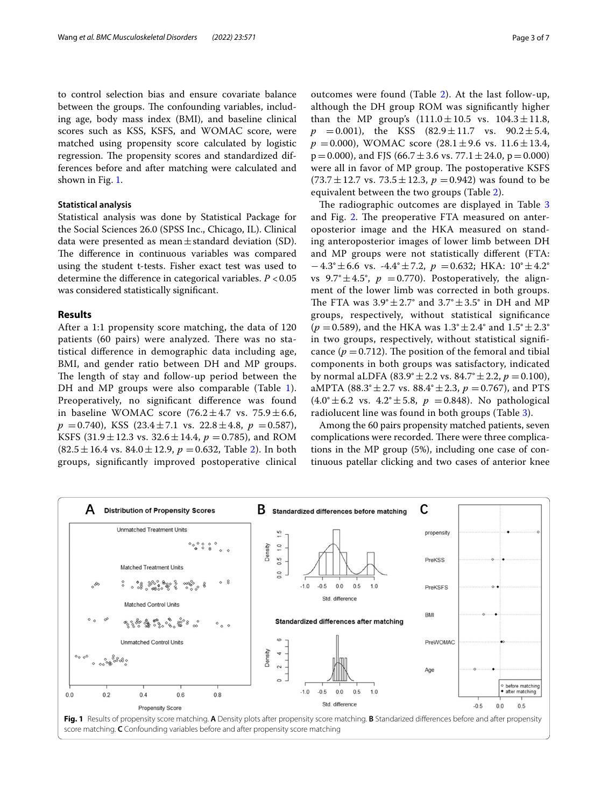to control selection bias and ensure covariate balance between the groups. The confounding variables, including age, body mass index (BMI), and baseline clinical scores such as KSS, KSFS, and WOMAC score, were matched using propensity score calculated by logistic regression. The propensity scores and standardized differences before and after matching were calculated and shown in Fig. [1](#page-2-0).

# **Statistical analysis**

Statistical analysis was done by Statistical Package for the Social Sciences 26.0 (SPSS Inc., Chicago, IL). Clinical data were presented as mean $\pm$ standard deviation (SD). The difference in continuous variables was compared using the student t-tests. Fisher exact test was used to determine the diference in categorical variables. *P* <0.05 was considered statistically signifcant.

## **Results**

After a 1:1 propensity score matching, the data of 120 patients (60 pairs) were analyzed. There was no statistical diference in demographic data including age, BMI, and gender ratio between DH and MP groups. The length of stay and follow-up period between the DH and MP groups were also comparable (Table [1\)](#page-3-0). Preoperatively, no signifcant diference was found in baseline WOMAC score  $(76.2 \pm 4.7 \text{ vs. } 75.9 \pm 6.6,$  $p = 0.740$ , KSS  $(23.4 \pm 7.1 \text{ vs. } 22.8 \pm 4.8, p = 0.587)$ , KSFS (31.9  $\pm$  12.3 vs. 32.6  $\pm$  14.4,  $p = 0.785$ ), and ROM  $(82.5 \pm 16.4 \text{ vs. } 84.0 \pm 12.9, p = 0.632, \text{ Table } 2).$  $(82.5 \pm 16.4 \text{ vs. } 84.0 \pm 12.9, p = 0.632, \text{ Table } 2).$  $(82.5 \pm 16.4 \text{ vs. } 84.0 \pm 12.9, p = 0.632, \text{ Table } 2).$  In both groups, signifcantly improved postoperative clinical outcomes were found (Table [2\)](#page-3-1). At the last follow-up, although the DH group ROM was signifcantly higher than the MP group's  $(111.0 \pm 10.5 \text{ vs. } 104.3 \pm 11.8,$  $p = 0.001$ , the KSS  $(82.9 \pm 11.7 \text{ vs. } 90.2 \pm 5.4,$  $p = 0.000$ ), WOMAC score  $(28.1 \pm 9.6 \text{ vs. } 11.6 \pm 13.4,$  $p=0.000$ ), and FJS (66.7  $\pm$  3.6 vs. 77.1  $\pm$  24.0, p = 0.000) were all in favor of MP group. The postoperative KSFS  $(73.7 \pm 12.7 \text{ vs. } 73.5 \pm 12.3, p = 0.942)$  was found to be equivalent between the two groups (Table [2](#page-3-1)).

The radiographic outcomes are displayed in Table [3](#page-3-2) and Fig. [2](#page-4-0). The preoperative FTA measured on anteroposterior image and the HKA measured on standing anteroposterior images of lower limb between DH and MP groups were not statistically diferent (FTA:  $-4.3^\circ \pm 6.6$  vs.  $-4.4^\circ \pm 7.2$ ,  $p = 0.632$ ; HKA:  $10^\circ \pm 4.2^\circ$ vs  $9.7^{\circ} \pm 4.5^{\circ}$ ,  $p = 0.770$ ). Postoperatively, the alignment of the lower limb was corrected in both groups. The FTA was  $3.9^{\circ} \pm 2.7^{\circ}$  and  $3.7^{\circ} \pm 3.5^{\circ}$  in DH and MP groups, respectively, without statistical signifcance  $(p = 0.589)$ , and the HKA was  $1.3^{\circ} \pm 2.4^{\circ}$  and  $1.5^{\circ} \pm 2.3^{\circ}$ in two groups, respectively, without statistical signifcance  $(p = 0.712)$ . The position of the femoral and tibial components in both groups was satisfactory, indicated by normal aLDFA  $(83.9^{\circ} \pm 2.2 \text{ vs. } 84.7^{\circ} \pm 2.2, p = 0.100)$ , aMPTA (88.3°  $\pm$  2.7 vs. 88.4°  $\pm$  2.3,  $p = 0.767$ ), and PTS  $(4.0^{\circ} \pm 6.2 \text{ vs. } 4.2^{\circ} \pm 5.8, p = 0.848)$ . No pathological radiolucent line was found in both groups (Table [3\)](#page-3-2).

Among the 60 pairs propensity matched patients, seven complications were recorded. There were three complications in the MP group (5%), including one case of continuous patellar clicking and two cases of anterior knee



<span id="page-2-0"></span>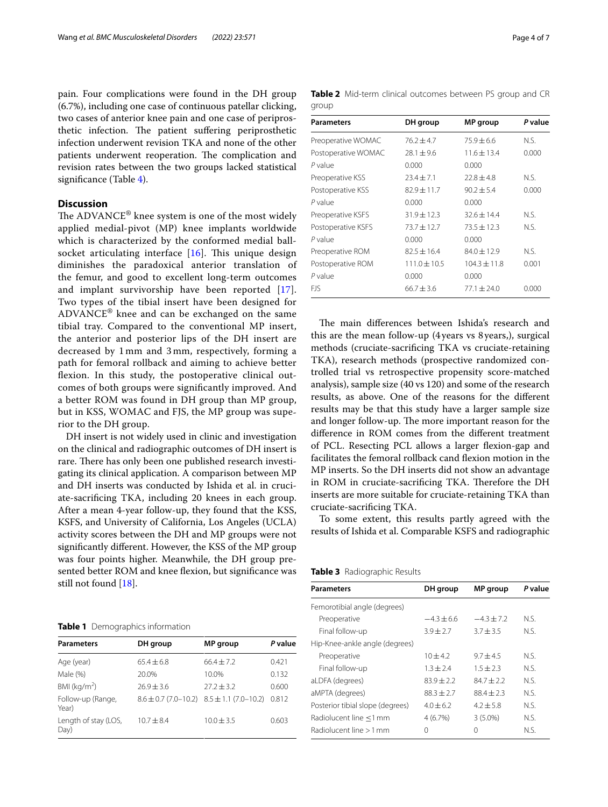pain. Four complications were found in the DH group (6.7%), including one case of continuous patellar clicking, two cases of anterior knee pain and one case of periprosthetic infection. The patient suffering periprosthetic infection underwent revision TKA and none of the other patients underwent reoperation. The complication and revision rates between the two groups lacked statistical signifcance (Table [4\)](#page-4-1).

# **Discussion**

The ADVANCE® knee system is one of the most widely applied medial-pivot (MP) knee implants worldwide which is characterized by the conformed medial ballsocket articulating interface  $[16]$  $[16]$ . This unique design diminishes the paradoxical anterior translation of the femur, and good to excellent long-term outcomes and implant survivorship have been reported [[17\]](#page-6-6). Two types of the tibial insert have been designed for ADVANCE® knee and can be exchanged on the same tibial tray. Compared to the conventional MP insert, the anterior and posterior lips of the DH insert are decreased by 1 mm and 3 mm, respectively, forming a path for femoral rollback and aiming to achieve better flexion. In this study, the postoperative clinical outcomes of both groups were signifcantly improved. And a better ROM was found in DH group than MP group, but in KSS, WOMAC and FJS, the MP group was superior to the DH group.

DH insert is not widely used in clinic and investigation on the clinical and radiographic outcomes of DH insert is rare. There has only been one published research investigating its clinical application. A comparison between MP and DH inserts was conducted by Ishida et al. in cruciate-sacrifcing TKA, including 20 knees in each group. After a mean 4-year follow-up, they found that the KSS, KSFS, and University of California, Los Angeles (UCLA) activity scores between the DH and MP groups were not signifcantly diferent. However, the KSS of the MP group was four points higher. Meanwhile, the DH group presented better ROM and knee flexion, but significance was still not found [[18](#page-6-7)].

## <span id="page-3-0"></span>**Table 1** Demographics information

| <b>Parameters</b>            | DH group                  | <b>MP</b> group            | P value |
|------------------------------|---------------------------|----------------------------|---------|
| Age (year)                   | $65.4 + 6.8$              | $66.4 + 7.2$               | 0.421   |
| Male (%)                     | 20.0%                     | 10.0%                      | 0.132   |
| BMI ( $kg/m2$ )              | $76.9 + 3.6$              | $27.2 + 3.2$               | 0.600   |
| Follow-up (Range,<br>Year)   | $8.6 \pm 0.7(7.0 - 10.2)$ | $8.5 \pm 1.1 (7.0 - 10.2)$ | 0.812   |
| Length of stay (LOS,<br>Day) | $10.7 + 8.4$              | $10.0 + 3.5$               | 0.603   |

<span id="page-3-1"></span>

|       |  | Table 2 Mid-term clinical outcomes between PS group and CR |  |  |  |
|-------|--|------------------------------------------------------------|--|--|--|
| group |  |                                                            |  |  |  |

| <b>Parameters</b>   | DH group         | MP group         | P value |
|---------------------|------------------|------------------|---------|
| Preoperative WOMAC  | $76.2 \pm 4.7$   | $75.9 + 6.6$     | N.S.    |
| Postoperative WOMAC | $78.1 + 9.6$     | $11.6 + 13.4$    | 0.000   |
| P value             | 0.000            | 0.000            |         |
| Preoperative KSS    | $73.4 + 7.1$     | $72.8 + 4.8$     | N.S.    |
| Postoperative KSS   | $82.9 \pm 11.7$  | $90.2 \pm 5.4$   | 0.000   |
| P value             | 0.000            | 0.000            |         |
| Preoperative KSFS   | $31.9 \pm 12.3$  | $32.6 + 14.4$    | N.S.    |
| Postoperative KSFS  | $73.7 + 12.7$    | $73.5 + 12.3$    | N.S.    |
| P value             | 0.000            | 0.000            |         |
| Preoperative ROM    | $82.5 + 16.4$    | $84.0 + 12.9$    | N.S.    |
| Postoperative ROM   | $111.0 \pm 10.5$ | $104.3 \pm 11.8$ | 0.001   |
| P value             | 0.000            | 0.000            |         |
| <b>FIS</b>          | $66.7 \pm 3.6$   | $77.1 \pm 24.0$  | 0.000   |

The main differences between Ishida's research and this are the mean follow-up (4years vs 8years,), surgical methods (cruciate-sacrifcing TKA vs cruciate-retaining TKA), research methods (prospective randomized controlled trial vs retrospective propensity score-matched analysis), sample size (40 vs 120) and some of the research results, as above. One of the reasons for the diferent results may be that this study have a larger sample size and longer follow-up. The more important reason for the diference in ROM comes from the diferent treatment of PCL. Resecting PCL allows a larger fexion-gap and facilitates the femoral rollback cand fexion motion in the MP inserts. So the DH inserts did not show an advantage in ROM in cruciate-sacrificing TKA. Therefore the DH inserts are more suitable for cruciate-retaining TKA than cruciate-sacrifcing TKA.

To some extent, this results partly agreed with the results of Ishida et al. Comparable KSFS and radiographic

<span id="page-3-2"></span>

|  | Table 3 Radiographic Results |  |
|--|------------------------------|--|
|--|------------------------------|--|

| <b>Parameters</b>                | DH group     | MP group     | P value |
|----------------------------------|--------------|--------------|---------|
| Femorotibial angle (degrees)     |              |              |         |
| Preoperative                     | $-4.3 + 6.6$ | $-4.3 + 7.2$ | N.S.    |
| Final follow-up                  | $3.9 + 2.7$  | $3.7 + 3.5$  | N.S.    |
| Hip-Knee-ankle angle (degrees)   |              |              |         |
| Preoperative                     | $10 + 4.2$   | $9.7 + 4.5$  | N.S.    |
| Final follow-up                  | $1.3 + 2.4$  | $1.5 + 2.3$  | N.S.    |
| aLDFA (degrees)                  | $83.9 + 2.2$ | $84.7 + 2.2$ | N.S.    |
| aMPTA (degrees)                  | $88.3 + 2.7$ | $88.4 + 2.3$ | N.S.    |
| Posterior tibial slope (degrees) | $4.0 + 6.2$  | $4.2 + 5.8$  | N S.    |
| Radiolucent line <1 mm           | 4(6.7%)      | $3(5.0\%)$   | N.S.    |
| Radiolucent line > 1 mm          | 0            | $\Omega$     | N.S.    |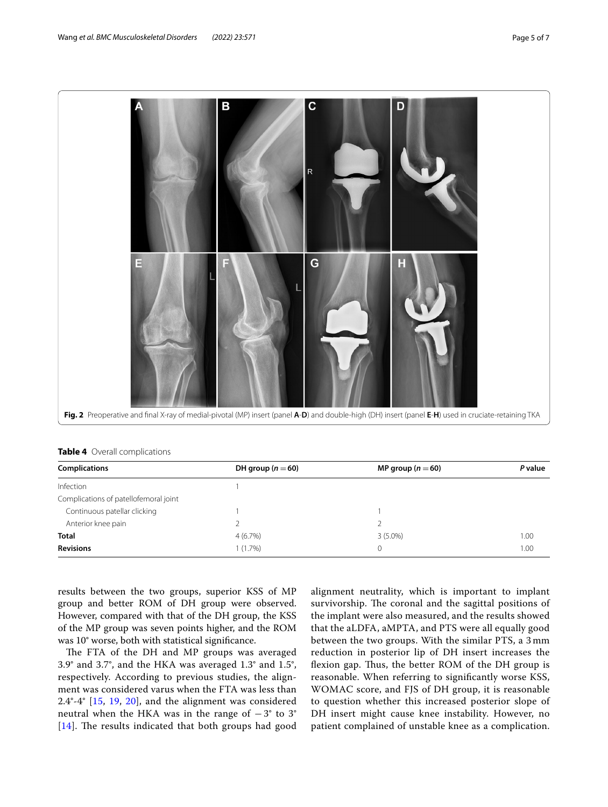

<span id="page-4-1"></span><span id="page-4-0"></span>

| <b>Table 4</b> Overall complications |  |  |
|--------------------------------------|--|--|
|--------------------------------------|--|--|

| <b>Complications</b>                  | DH group $(n=60)$ | MP group $(n=60)$ | P value |
|---------------------------------------|-------------------|-------------------|---------|
| Infection                             |                   |                   |         |
| Complications of patellofemoral joint |                   |                   |         |
| Continuous patellar clicking          |                   |                   |         |
| Anterior knee pain                    |                   |                   |         |
| <b>Total</b>                          | 4(6.7%)           | $3(5.0\%)$        | 1.00    |
| <b>Revisions</b>                      | 1(1.7%)           | 0                 | 1.00    |

results between the two groups, superior KSS of MP group and better ROM of DH group were observed. However, compared with that of the DH group, the KSS of the MP group was seven points higher, and the ROM was 10° worse, both with statistical signifcance.

The FTA of the DH and MP groups was averaged 3.9° and 3.7°, and the HKA was averaged 1.3° and 1.5°, respectively. According to previous studies, the alignment was considered varus when the FTA was less than 2.4°-4° [[15,](#page-6-4) [19](#page-6-8), [20](#page-6-9)], and the alignment was considered neutral when the HKA was in the range of  $-3^\circ$  to 3°  $[14]$  $[14]$  $[14]$ . The results indicated that both groups had good alignment neutrality, which is important to implant survivorship. The coronal and the sagittal positions of the implant were also measured, and the results showed that the aLDFA, aMPTA, and PTS were all equally good between the two groups. With the similar PTS, a 3 mm reduction in posterior lip of DH insert increases the flexion gap. Thus, the better ROM of the DH group is reasonable. When referring to signifcantly worse KSS, WOMAC score, and FJS of DH group, it is reasonable to question whether this increased posterior slope of DH insert might cause knee instability. However, no patient complained of unstable knee as a complication.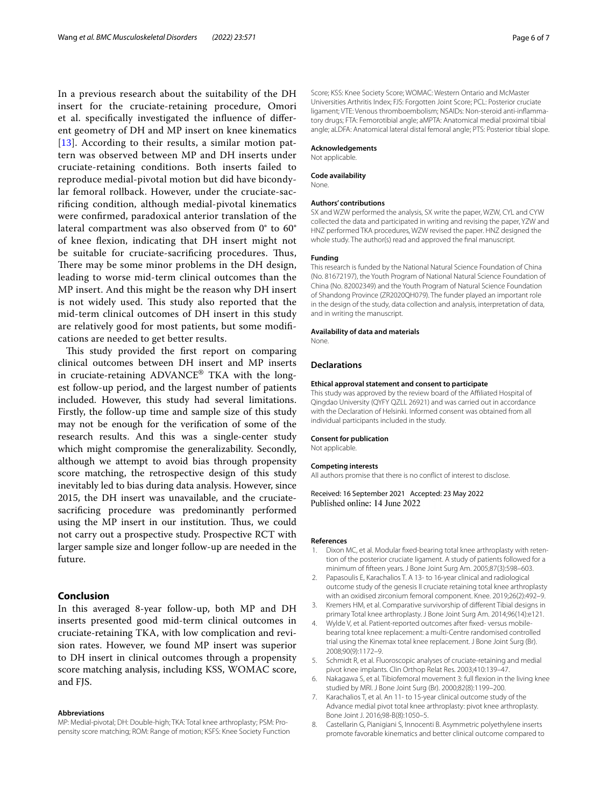In a previous research about the suitability of the DH insert for the cruciate-retaining procedure, Omori et al. specifcally investigated the infuence of diferent geometry of DH and MP insert on knee kinematics [[13](#page-6-2)]. According to their results, a similar motion pattern was observed between MP and DH inserts under cruciate-retaining conditions. Both inserts failed to reproduce medial-pivotal motion but did have bicondylar femoral rollback. However, under the cruciate-sacrifcing condition, although medial-pivotal kinematics were confrmed, paradoxical anterior translation of the lateral compartment was also observed from 0° to 60° of knee fexion, indicating that DH insert might not be suitable for cruciate-sacrificing procedures. Thus, There may be some minor problems in the DH design, leading to worse mid-term clinical outcomes than the MP insert. And this might be the reason why DH insert is not widely used. This study also reported that the mid-term clinical outcomes of DH insert in this study are relatively good for most patients, but some modifcations are needed to get better results.

This study provided the first report on comparing clinical outcomes between DH insert and MP inserts in cruciate-retaining ADVANCE® TKA with the longest follow-up period, and the largest number of patients included. However, this study had several limitations. Firstly, the follow-up time and sample size of this study may not be enough for the verifcation of some of the research results. And this was a single-center study which might compromise the generalizability. Secondly, although we attempt to avoid bias through propensity score matching, the retrospective design of this study inevitably led to bias during data analysis. However, since 2015, the DH insert was unavailable, and the cruciatesacrifcing procedure was predominantly performed using the MP insert in our institution. Thus, we could not carry out a prospective study. Prospective RCT with larger sample size and longer follow-up are needed in the future.

# **Conclusion**

In this averaged 8-year follow-up, both MP and DH inserts presented good mid-term clinical outcomes in cruciate-retaining TKA, with low complication and revision rates. However, we found MP insert was superior to DH insert in clinical outcomes through a propensity score matching analysis, including KSS, WOMAC score, and FJS.

#### **Abbreviations**

MP: Medial-pivotal; DH: Double-high; TKA: Total knee arthroplasty; PSM: Propensity score matching; ROM: Range of motion; KSFS: Knee Society Function Score; KSS: Knee Society Score; WOMAC: Western Ontario and McMaster Universities Arthritis Index; FJS: Forgotten Joint Score; PCL: Posterior cruciate ligament; VTE: Venous thromboembolism; NSAIDs: Non-steroid anti-infammatory drugs; FTA: Femorotibial angle; aMPTA: Anatomical medial proximal tibial angle; aLDFA: Anatomical lateral distal femoral angle; PTS: Posterior tibial slope.

#### **Acknowledgements**

Not applicable.

#### **Code availability**

None.

#### **Authors' contributions**

SX and WZW performed the analysis, SX write the paper, WZW, CYL and CYW collected the data and participated in writing and revising the paper, YZW and HNZ performed TKA procedures, WZW revised the paper. HNZ designed the whole study. The author(s) read and approved the fnal manuscript.

#### **Funding**

This research is funded by the National Natural Science Foundation of China (No. 81672197), the Youth Program of National Natural Science Foundation of China (No. 82002349) and the Youth Program of Natural Science Foundation of Shandong Province (ZR2020QH079). The funder played an important role in the design of the study, data collection and analysis, interpretation of data, and in writing the manuscript.

#### **Availability of data and materials**

None.

#### **Declarations**

#### **Ethical approval statement and consent to participate**

This study was approved by the review board of the Affiliated Hospital of Qingdao University (QYFY QZLL 26921) and was carried out in accordance with the Declaration of Helsinki. Informed consent was obtained from all individual participants included in the study.

#### **Consent for publication**

Not applicable.

#### **Competing interests**

All authors promise that there is no confict of interest to disclose.

Received: 16 September 2021 Accepted: 23 May 2022 Published online: 14 June 2022

### **References**

- <span id="page-5-0"></span>1. Dixon MC, et al. Modular fxed-bearing total knee arthroplasty with retention of the posterior cruciate ligament. A study of patients followed for a minimum of ffteen years. J Bone Joint Surg Am. 2005;87(3):598–603.
- 2. Papasoulis E, Karachalios T. A 13- to 16-year clinical and radiological outcome study of the genesis II cruciate retaining total knee arthroplasty with an oxidised zirconium femoral component. Knee. 2019;26(2):492–9.
- 3. Kremers HM, et al. Comparative survivorship of diferent Tibial designs in primary Total knee arthroplasty. J Bone Joint Surg Am. 2014;96(14):e121.
- <span id="page-5-1"></span>4. Wylde V, et al. Patient-reported outcomes after fxed- versus mobilebearing total knee replacement: a multi-Centre randomised controlled trial using the Kinemax total knee replacement. J Bone Joint Surg (Br). 2008;90(9):1172–9.
- <span id="page-5-2"></span>5. Schmidt R, et al. Fluoroscopic analyses of cruciate-retaining and medial pivot knee implants. Clin Orthop Relat Res. 2003;410:139–47.
- <span id="page-5-3"></span>6. Nakagawa S, et al. Tibiofemoral movement 3: full fexion in the living knee studied by MRI. J Bone Joint Surg (Br). 2000;82(8):1199–200.
- <span id="page-5-4"></span>7. Karachalios T, et al. An 11- to 15-year clinical outcome study of the Advance medial pivot total knee arthroplasty: pivot knee arthroplasty. Bone Joint J. 2016;98-B(8):1050–5.
- <span id="page-5-5"></span>8. Castellarin G, Pianigiani S, Innocenti B. Asymmetric polyethylene inserts promote favorable kinematics and better clinical outcome compared to